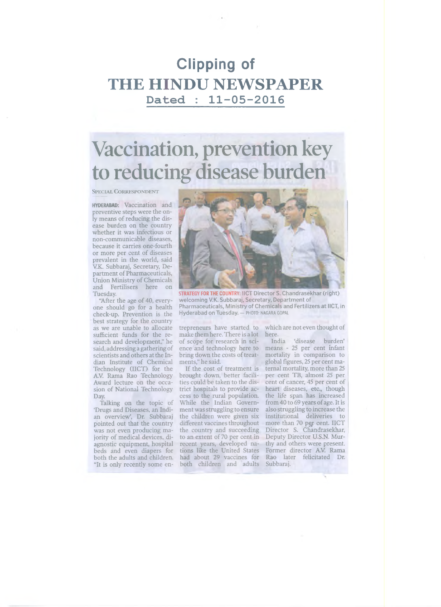#### **Clipping of THE HINDU NEWSPAPER D ated : 11 -05 -2016**

# Vaccination, prevention key to reducing disease burden

SPECIAL CORRESPONDENT

HYDERABAD: Vaccination and preventive steps were the only means of reducing the disease burden on the country whether it was infectious or non-communicable diseases, because it carries one-fourth or more per cent of diseases prevalent in the world, said V.K. Subbaraj, Secretary, Department of Pharmaceuticals, Union Ministry of Chemicals and Fertilisers here on Tuesday.

"After the age of 40, everyone should go for a health check-up. Prevention is the best strategy for the country as we are unable to allocate sufficient funds for the research and development," he said, addressing a gathering of scientists and others at the Indian Institute of Chemical Technology (IICT) for the A.V. Rama Rao Technology Award lecture on the occasion of National Technology Day.

Talking on the topic of 'Drugs and Diseases, an Indian overview', Dr. Subbaraj pointed out that the country was not even producing majority of medical devices, diagnostic equipment, hospital beds and even diapers for both the adults and children. "It is only recently some en-



STRATEGY FOR THE COUNTRY: IICT Director S. Chandrasekhar (right) welcoming V.K. Subbaraj, Secretary, Department of Pharmaceuticals, Ministry of Chemicals and Fertilizers at IICT, in Hyderabad on Tuesday. — PHOTO: nagara GOPAL

trepreneurs have started to make them here. There is a lot of scope for research in science and technology here to bring down the costs of treatments," he said.

If the cost of treatment is brought down, better facilities could be taken to the district hospitals to provide access to the rural population. While the Indian Government was struggling to ensure the children were given six different vaccines throughout the country and succeeding to an extent of 70 per cent in recent years, developed nations like the United States had about 29 vaccines for both children and adults Subbaraj.

which are not even thought of here.<br>India

'disease burden' means - 25 per cent infant mortality in comparison to global figures, 25 per cent maternal mortality, more than 25 per cent TB, almost 25 per cent of cancer, 45 per cent of heart diseases, etc., though the life span has increased from 40 to 69 years of age. It is also struggling to increase the institutional deliveries to more than 70 per cent. IICT Director S. Chandrasekhar, Deputy Director U.S.N. Murthy and others were present. Former director A.V. Rama Rao later felicitated Dr.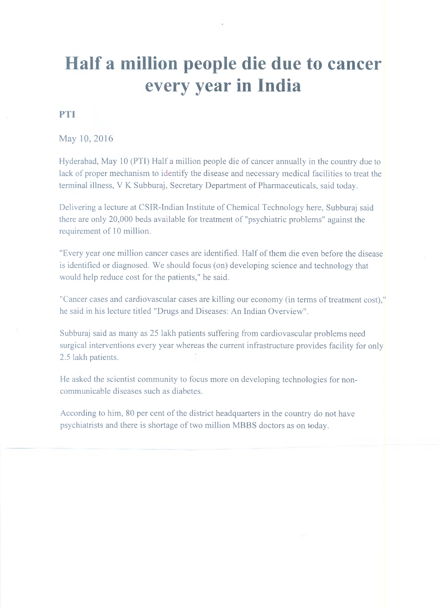## **Half a million people die due to cancer every year in India**

#### **PTI**

May 10, 2016

Hyderabad, May 10 (PTI) Half a million people die of cancer annually in the country due to lack of proper mechanism to identify the disease and necessary medical facilities to treat the terminal illness, V K Subburaj, Secretary Department of Pharmaceuticals, said today.

Delivering a lecture at CSIR-Indian Institute of Chemical Technology here, Subburaj said there are only 20,000 beds available for treatment of "psychiatric problems" against the requirement of 10 million.

"Every year one million cancer cases are identified. Half of them die even before the disease is identified or diagnosed. We should focus (on) developing science and technology that would help reduce cost for the patients," he said.

"Cancer cases and cardiovascular cases are killing our economy (in terms of treatment cost)," he said in his lecture titled "Drugs and Diseases: An Indian Overview".

Subburaj said as many as 25 lakh patients suffering from cardiovascular problems need surgical interventions every year whereas the current infrastructure provides facility for only 2.5 lakh patients.

He asked the scientist community to focus more on developing technologies for noncommunicable diseases such as diabetes.

According to him, 80 per cent of the district headquarters in the country do not have psychiatrists and there is shortage of two million MBBS doctors as on today.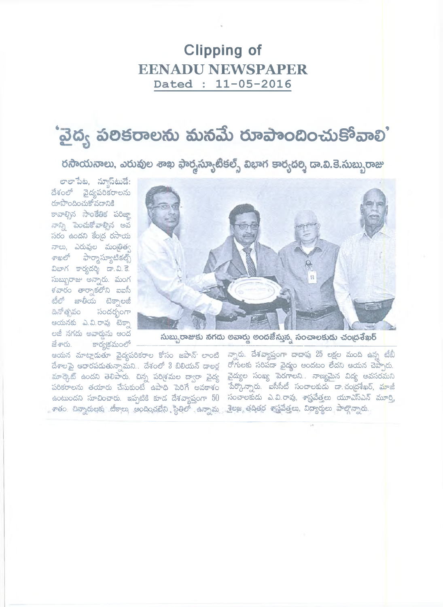#### **Clipping of EENADU NEWSPAPER** Dated : 11-05-2016

# 'వైద్య పలికరాలను మనమే రూపాందించుకోవాలి'

రసాయనాలు, ఎరువుల శాఖ ఫార్శస్యూటీకల్స్ విభాగ కార్యదర్శి దా.వి.కె.సుబ్బురాజు



సుబ్బురాజుకు నగదు లవార్డు అందజేస్తున్న సంచాలకుదు చంద్రశేఖర్

ఆయన మాట్లాడుతూ వైద్యపరికరాల కోసం జపాన్ లాంటి న్నారు. దేశవ్యాప్తంగా దాదాపు 25 లక్షల మంది ఉన్న టీబీ దేశాలపై ఆధారపడుతున్నామని.. దేశంలో 3 బిలియన్ డాలర్ల - రోగులకు సరిపడా వైద్యం అందటం లేదని ఆయన చెప్పారు. మార్కెట్ ఉందని తెలిపారు. చిన్న పరిశ్రమల ద్వారా వైద్య వైద్యుల సంఖ్య పెరగాలని.. నాణ్యమైన విద్య అవసరమని పరికరాలను తయారు చేసుకుంటే ఉపాధి పెరిగే అవకాశం పేర్కొన్నారు. ఐసీసీటీ సంచాలకుడు డా.చంద్రశేఖర్, మాజీ ాతం చిన్నారులకు టికాలు అందించలేని స్థితిలో ఉన్నామ*్త.* కెలజ తదితర శాస్త్రవేత్తలు విద్యార్థులు పాల్గొన్నారు.

ఉంటుందని సూచించారు. ఇప్పటికి కూడ దేశవ్యాప్తంగా  $50$  సంచాలకుడు ఎ.వి.రావు, శాస్త్రవేత్తలు యూఎస్ఎన్ మూర్తి,

రూపొందించుకోవడానికి కావాల్సిన సాంకేతిక పరిజా నాన్ని పెంచుకోవాల్సిన అవ సరం ఉందని కేంద్ర రసాయి నాలు, ఎరువుల మంతిత్వ శాఖలో ఫార్మాస్యూటికల్స్ విభాగ కార్యదర్శి డా.వి.కె. సుబ్బురాజు అన్నారు. మంగ ళవారం తార్చాకలోని ఐఐసీ టీలో జాతీయ టెక్నాలజీ దినో తృవం సందర్భంగా ఆయనకు ఎ.వి.రావు టెక్నా లజీ నగదు అవార్తును అంద జేశారు. ్ కార్యక్రమంలో

లాలాపేట, నూస్*టు*డే: దేశంలో వైద్యపరికరాలను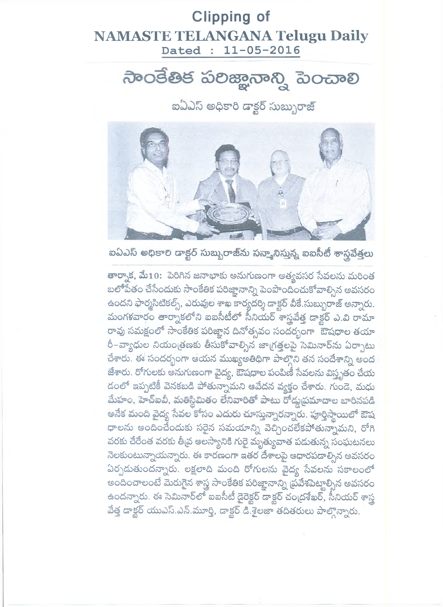#### **Clipping of NAMASTE TELANGANA Telugu Daily** Dated : 11-05-2016

ನಾಂತೆತಿಕ ಏಲಿಜ್ಞಾನಾನ್ನಿ ಎಂವಾಲಿ

ఐఏఎస్ అధికారి డాక్టర్ సుబ్బురాజ్



ఐఏఎస్ అధికాలి డాక్టర్ సుబ్బురాజీను సన్కానిస్తున్న ఐఐసీటీ శాస్త్రవేత్తలు

తార్నాక, మే10: పెరిగిన జనాభాకు అనుగుణంగా అత్యవసర సేవలను మరింత బలోపేతం చేసేందుకు సాంకేతిక పరిజ్ఞానాన్ని పెంపొందించుకోవాల్సిన అవసరం ఉందని ఫార్మసిటికల్స్, ఎరువుల శాఖ కార్యదర్శి డాక్టర్ వీకే సుబ్బురాజ్ అన్నారు. మంగళవారం తార్నాకలోని ఐఐసీటీలో సీనియర్ శాస్త్రవేత్త డాక్టర్ ఎ.వి రామా రావు సమక్షంలో సాంకేతిక పరిజ్ఞాన దినోత్సవం సందర్భంగా ఔషధాల తయా రీ–వ్యాధుల నియంత్రణకు తీసుకోవాల్సిన జాగ్రత్తలపై సెమినార్ను ఏర్పాటు చేశారు. ఈ సందర్భంగా ఆయన ముఖ్యఅతిథిగా పాల్గొని తన సందేశాన్ని అంద జేశారు. రోగులకు అనుగుణంగా వైద్య, ఔషధాల పంపిణీ సేవలను విస్తృతం చేయ డంలో ఇప్పటికీ వెనకబడి పోతున్నామని ఆవేదన వ్యక్తం చేశారు. గుండె, మధు మేహం, హెచ్ఐవీ, మతిస్థిమితం లేనివారితో పాటు రోడ్డుప్రమాదాల బారినపడి అనేక మంది వైద్య సేవల కోసం ఎదురు చూస్తున్నారన్నారు. పూర్తిస్థాయిలో ఔష ధాలను అందించేందుకు సరైన సమయాన్ని వెచ్చించలేకపోతున్నామని, రోగి వరకు చేరేంత వరకు తీ<sub>l</sub>వ ఆలస్యానికి గురై మృత్యువాత పడుతున్న సంఘటనలు నెలకుంటున్నాయన్నారు. ఈ కారణంగా ఇతర దేశాలపై ఆధారపడాల్సిన అవసరం ఏర్పడుతుందన్నారు. లక్షలాది మంది రోగులను వైద్య సేవలను సకాలంలో అందించాలంటే మెరుగైన శాస్త్ర సాంకేతిక పరిజ్ఞానాన్ని బ్రవేశపెట్టాల్సిన అవసరం ఉందన్నారు. ఈ సెమినార్లో ఐఐసీటీ డైరెక్టర్ డాక్టర్ చంద్రశేఖర్, సీనియర్ శాస్త్ర వేత్త డాక్టర్ యుఎస్.ఎన్.మూర్తి, డాక్టర్ డి.శైలజా తదితరులు పాల్గొన్నారు.